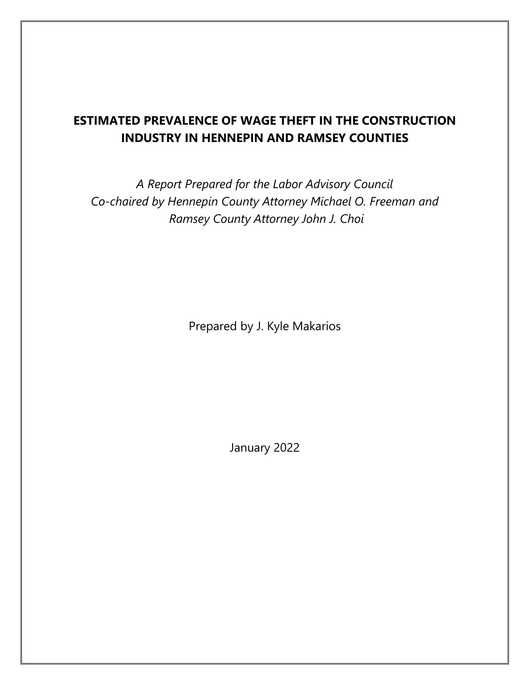# **ESTIMATED PREVALENCE OF WAGE THEFT IN THE CONSTRUCTION INDUSTRY IN HENNEPIN AND RAMSEY COUNTIES**

*A Report Prepared for the Labor Advisory Council Co-chaired by Hennepin County Attorney Michael O. Freeman and Ramsey County Attorney John J. Choi*

Prepared by J. Kyle Makarios

January 2022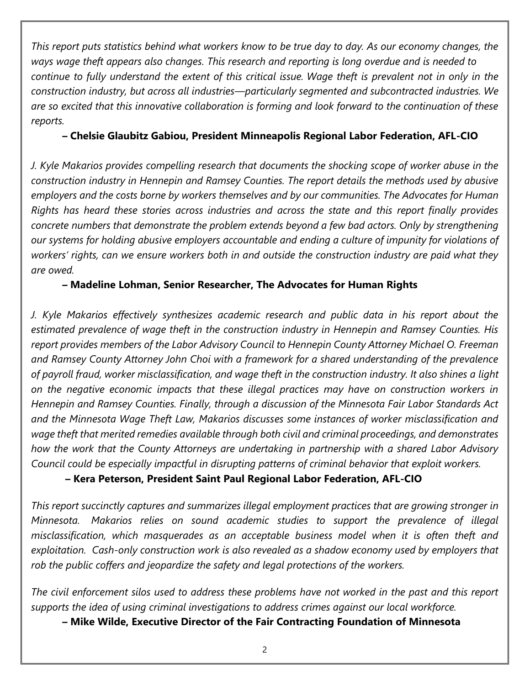*This report puts statistics behind what workers know to be true day to day. As our economy changes, the ways wage theft appears also changes. This research and reporting is long overdue and is needed to continue to fully understand the extent of this critical issue. Wage theft is prevalent not in only in the construction industry, but across all industries—particularly segmented and subcontracted industries. We are so excited that this innovative collaboration is forming and look forward to the continuation of these reports.* 

#### **– Chelsie Glaubitz Gabiou, President Minneapolis Regional Labor Federation, AFL-CIO**

*J. Kyle Makarios provides compelling research that documents the shocking scope of worker abuse in the construction industry in Hennepin and Ramsey Counties. The report details the methods used by abusive employers and the costs borne by workers themselves and by our communities. The Advocates for Human Rights has heard these stories across industries and across the state and this report finally provides concrete numbers that demonstrate the problem extends beyond a few bad actors. Only by strengthening our systems for holding abusive employers accountable and ending a culture of impunity for violations of workers' rights, can we ensure workers both in and outside the construction industry are paid what they are owed.*

**– Madeline Lohman, Senior Researcher, The Advocates for Human Rights**

*J. Kyle Makarios effectively synthesizes academic research and public data in his report about the estimated prevalence of wage theft in the construction industry in Hennepin and Ramsey Counties. His report provides members of the Labor Advisory Council to Hennepin County Attorney Michael O. Freeman and Ramsey County Attorney John Choi with a framework for a shared understanding of the prevalence of payroll fraud, worker misclassification, and wage theft in the construction industry. It also shines a light on the negative economic impacts that these illegal practices may have on construction workers in Hennepin and Ramsey Counties. Finally, through a discussion of the Minnesota Fair Labor Standards Act and the Minnesota Wage Theft Law, Makarios discusses some instances of worker misclassification and wage theft that merited remedies available through both civil and criminal proceedings, and demonstrates how the work that the County Attorneys are undertaking in partnership with a shared Labor Advisory Council could be especially impactful in disrupting patterns of criminal behavior that exploit workers.*

**– Kera Peterson, President Saint Paul Regional Labor Federation, AFL-CIO**

*This report succinctly captures and summarizes illegal employment practices that are growing stronger in Minnesota. Makarios relies on sound academic studies to support the prevalence of illegal misclassification, which masquerades as an acceptable business model when it is often theft and exploitation. Cash-only construction work is also revealed as a shadow economy used by employers that rob the public coffers and jeopardize the safety and legal protections of the workers.* 

*The civil enforcement silos used to address these problems have not worked in the past and this report supports the idea of using criminal investigations to address crimes against our local workforce.*

**– Mike Wilde, Executive Director of the Fair Contracting Foundation of Minnesota**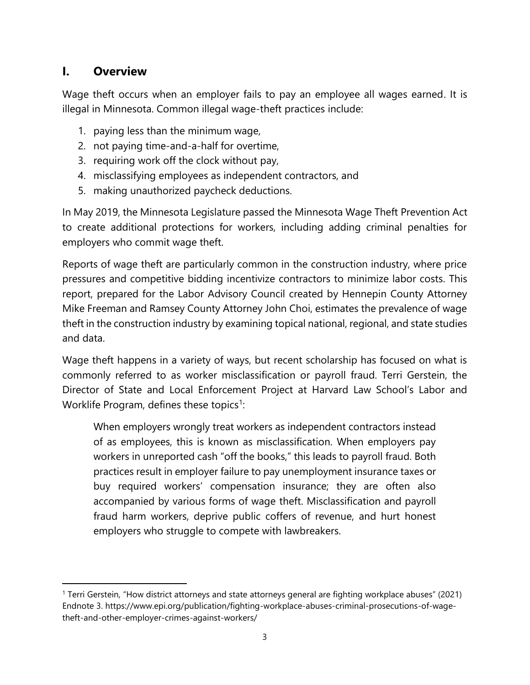## **I. Overview**

Wage theft occurs when an employer fails to pay an employee all wages earned. It is illegal in Minnesota. Common illegal wage-theft practices include:

- 1. paying less than the minimum wage,
- 2. not paying time-and-a-half for overtime,
- 3. requiring work off the clock without pay,
- 4. misclassifying employees as independent contractors, and
- 5. making unauthorized paycheck deductions.

In May 2019, the Minnesota Legislature passed the Minnesota Wage Theft Prevention Act to create additional protections for workers, including adding criminal penalties for employers who commit wage theft.

Reports of wage theft are particularly common in the construction industry, where price pressures and competitive bidding incentivize contractors to minimize labor costs. This report, prepared for the Labor Advisory Council created by Hennepin County Attorney Mike Freeman and Ramsey County Attorney John Choi, estimates the prevalence of wage theft in the construction industry by examining topical national, regional, and state studies and data.

Wage theft happens in a variety of ways, but recent scholarship has focused on what is commonly referred to as worker misclassification or payroll fraud. Terri Gerstein, the Director of State and Local Enforcement Project at Harvard Law School's Labor and Worklife Program, defines these topics<sup>1</sup>:

When employers wrongly treat workers as independent contractors instead of as employees, this is known as misclassification. When employers pay workers in unreported cash "off the books," this leads to payroll fraud. Both practices result in employer failure to pay unemployment insurance taxes or buy required workers' compensation insurance; they are often also accompanied by various forms of wage theft. Misclassification and payroll fraud harm workers, deprive public coffers of revenue, and hurt honest employers who struggle to compete with lawbreakers.

<sup>1</sup> Terri Gerstein, "How district attorneys and state attorneys general are fighting workplace abuses" (2021) Endnote 3. https://www.epi.org/publication/fighting-workplace-abuses-criminal-prosecutions-of-wagetheft-and-other-employer-crimes-against-workers/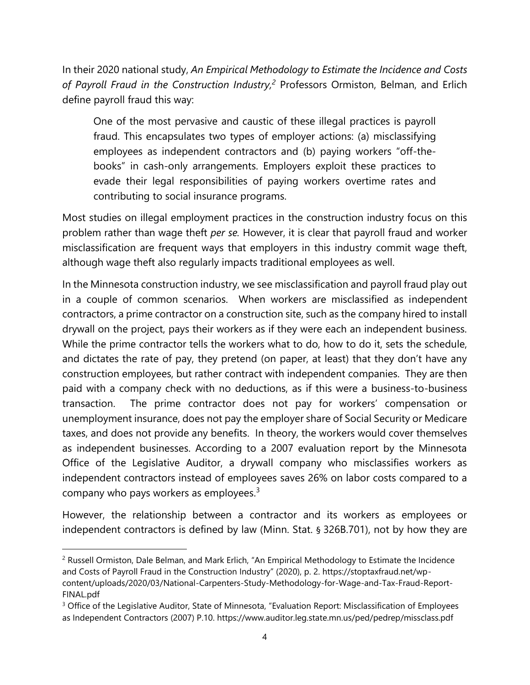In their 2020 national study, *An Empirical Methodology to Estimate the Incidence and Costs of Payroll Fraud in the Construction Industry, <sup>2</sup>* Professors Ormiston, Belman, and Erlich define payroll fraud this way:

One of the most pervasive and caustic of these illegal practices is payroll fraud. This encapsulates two types of employer actions: (a) misclassifying employees as independent contractors and (b) paying workers "off-thebooks" in cash-only arrangements. Employers exploit these practices to evade their legal responsibilities of paying workers overtime rates and contributing to social insurance programs.

Most studies on illegal employment practices in the construction industry focus on this problem rather than wage theft *per se.* However, it is clear that payroll fraud and worker misclassification are frequent ways that employers in this industry commit wage theft, although wage theft also regularly impacts traditional employees as well.

In the Minnesota construction industry, we see misclassification and payroll fraud play out in a couple of common scenarios. When workers are misclassified as independent contractors, a prime contractor on a construction site, such as the company hired to install drywall on the project, pays their workers as if they were each an independent business. While the prime contractor tells the workers what to do, how to do it, sets the schedule, and dictates the rate of pay, they pretend (on paper, at least) that they don't have any construction employees, but rather contract with independent companies. They are then paid with a company check with no deductions, as if this were a business-to-business transaction. The prime contractor does not pay for workers' compensation or unemployment insurance, does not pay the employer share of Social Security or Medicare taxes, and does not provide any benefits. In theory, the workers would cover themselves as independent businesses. According to a 2007 evaluation report by the Minnesota Office of the Legislative Auditor, a drywall company who misclassifies workers as independent contractors instead of employees saves 26% on labor costs compared to a company who pays workers as employees.<sup>3</sup>

However, the relationship between a contractor and its workers as employees or independent contractors is defined by law (Minn. Stat. § 326B.701), not by how they are

<sup>2</sup> Russell Ormiston, Dale Belman, and Mark Erlich, "An Empirical Methodology to Estimate the Incidence and Costs of Payroll Fraud in the Construction Industry" (2020), p. 2. https://stoptaxfraud.net/wpcontent/uploads/2020/03/National-Carpenters-Study-Methodology-for-Wage-and-Tax-Fraud-Report-FINAL.pdf

<sup>&</sup>lt;sup>3</sup> Office of the Legislative Auditor, State of Minnesota, "Evaluation Report: Misclassification of Employees as Independent Contractors (2007) P.10. https://www.auditor.leg.state.mn.us/ped/pedrep/missclass.pdf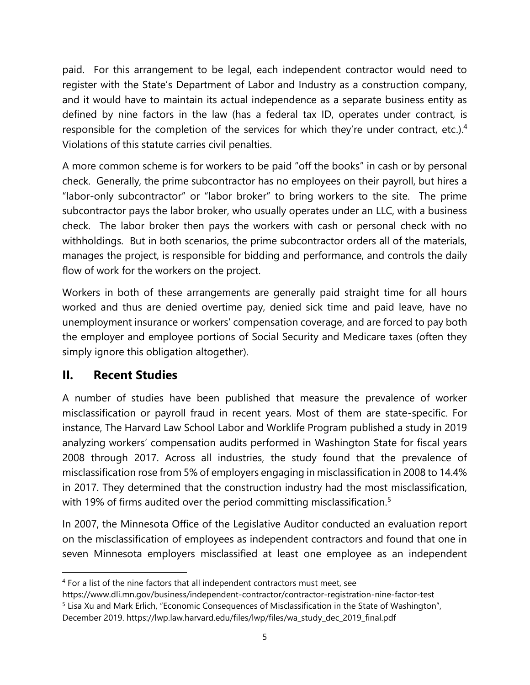paid. For this arrangement to be legal, each independent contractor would need to register with the State's Department of Labor and Industry as a construction company, and it would have to maintain its actual independence as a separate business entity as defined by nine factors in the law (has a federal tax ID, operates under contract, is responsible for the completion of the services for which they're under contract, etc.).<sup>4</sup> Violations of this statute carries civil penalties.

A more common scheme is for workers to be paid "off the books" in cash or by personal check. Generally, the prime subcontractor has no employees on their payroll, but hires a "labor-only subcontractor" or "labor broker" to bring workers to the site. The prime subcontractor pays the labor broker, who usually operates under an LLC, with a business check. The labor broker then pays the workers with cash or personal check with no withholdings. But in both scenarios, the prime subcontractor orders all of the materials, manages the project, is responsible for bidding and performance, and controls the daily flow of work for the workers on the project.

Workers in both of these arrangements are generally paid straight time for all hours worked and thus are denied overtime pay, denied sick time and paid leave, have no unemployment insurance or workers' compensation coverage, and are forced to pay both the employer and employee portions of Social Security and Medicare taxes (often they simply ignore this obligation altogether).

## **II. Recent Studies**

A number of studies have been published that measure the prevalence of worker misclassification or payroll fraud in recent years. Most of them are state-specific. For instance, The Harvard Law School Labor and Worklife Program published a study in 2019 analyzing workers' compensation audits performed in Washington State for fiscal years 2008 through 2017. Across all industries, the study found that the prevalence of misclassification rose from 5% of employers engaging in misclassification in 2008 to 14.4% in 2017. They determined that the construction industry had the most misclassification, with 19% of firms audited over the period committing misclassification.<sup>5</sup>

In 2007, the Minnesota Office of the Legislative Auditor conducted an evaluation report on the misclassification of employees as independent contractors and found that one in seven Minnesota employers misclassified at least one employee as an independent

<sup>&</sup>lt;sup>4</sup> For a list of the nine factors that all independent contractors must meet, see

https://www.dli.mn.gov/business/independent-contractor/contractor-registration-nine-factor-test

<sup>&</sup>lt;sup>5</sup> Lisa Xu and Mark Erlich, "Economic Consequences of Misclassification in the State of Washington", December 2019. https://lwp.law.harvard.edu/files/lwp/files/wa\_study\_dec\_2019\_final.pdf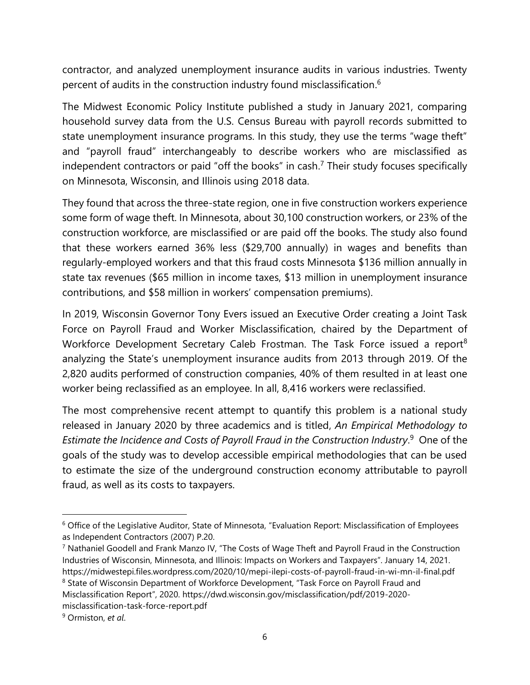contractor, and analyzed unemployment insurance audits in various industries. Twenty percent of audits in the construction industry found misclassification.<sup>6</sup>

The Midwest Economic Policy Institute published a study in January 2021, comparing household survey data from the U.S. Census Bureau with payroll records submitted to state unemployment insurance programs. In this study, they use the terms "wage theft" and "payroll fraud" interchangeably to describe workers who are misclassified as independent contractors or paid "off the books" in cash.<sup>7</sup> Their study focuses specifically on Minnesota, Wisconsin, and Illinois using 2018 data.

They found that across the three-state region, one in five construction workers experience some form of wage theft. In Minnesota, about 30,100 construction workers, or 23% of the construction workforce, are misclassified or are paid off the books. The study also found that these workers earned 36% less (\$29,700 annually) in wages and benefits than regularly-employed workers and that this fraud costs Minnesota \$136 million annually in state tax revenues (\$65 million in income taxes, \$13 million in unemployment insurance contributions, and \$58 million in workers' compensation premiums).

In 2019, Wisconsin Governor Tony Evers issued an Executive Order creating a Joint Task Force on Payroll Fraud and Worker Misclassification, chaired by the Department of Workforce Development Secretary Caleb Frostman. The Task Force issued a report<sup>8</sup> analyzing the State's unemployment insurance audits from 2013 through 2019. Of the 2,820 audits performed of construction companies, 40% of them resulted in at least one worker being reclassified as an employee. In all, 8,416 workers were reclassified.

The most comprehensive recent attempt to quantify this problem is a national study released in January 2020 by three academics and is titled, *An Empirical Methodology to Estimate the Incidence and Costs of Payroll Fraud in the Construction Industry*. 9 One of the goals of the study was to develop accessible empirical methodologies that can be used to estimate the size of the underground construction economy attributable to payroll fraud, as well as its costs to taxpayers.

<sup>6</sup> Office of the Legislative Auditor, State of Minnesota, "Evaluation Report: Misclassification of Employees as Independent Contractors (2007) P.20.

<sup>7</sup> Nathaniel Goodell and Frank Manzo IV, "The Costs of Wage Theft and Payroll Fraud in the Construction Industries of Wisconsin, Minnesota, and Illinois: Impacts on Workers and Taxpayers". January 14, 2021. https://midwestepi.files.wordpress.com/2020/10/mepi-ilepi-costs-of-payroll-fraud-in-wi-mn-il-final.pdf <sup>8</sup> State of Wisconsin Department of Workforce Development, "Task Force on Payroll Fraud and Misclassification Report", 2020. https://dwd.wisconsin.gov/misclassification/pdf/2019-2020 misclassification-task-force-report.pdf

<sup>9</sup> Ormiston, *et al*.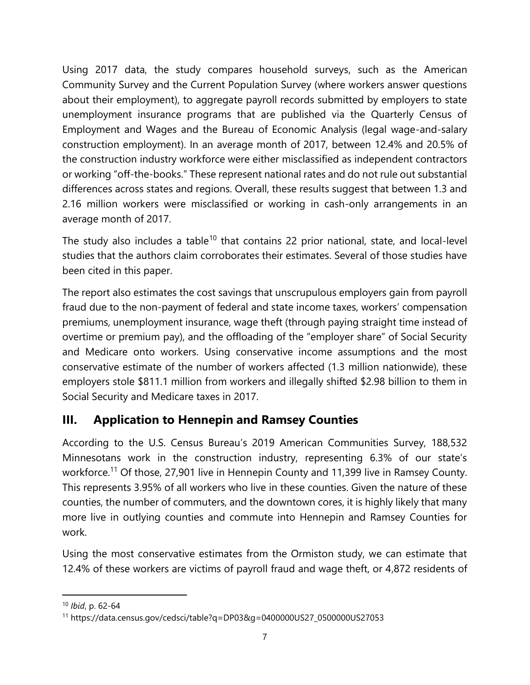Using 2017 data, the study compares household surveys, such as the American Community Survey and the Current Population Survey (where workers answer questions about their employment), to aggregate payroll records submitted by employers to state unemployment insurance programs that are published via the Quarterly Census of Employment and Wages and the Bureau of Economic Analysis (legal wage-and-salary construction employment). In an average month of 2017, between 12.4% and 20.5% of the construction industry workforce were either misclassified as independent contractors or working "off-the-books." These represent national rates and do not rule out substantial differences across states and regions. Overall, these results suggest that between 1.3 and 2.16 million workers were misclassified or working in cash-only arrangements in an average month of 2017.

The study also includes a table<sup>10</sup> that contains 22 prior national, state, and local-level studies that the authors claim corroborates their estimates. Several of those studies have been cited in this paper.

The report also estimates the cost savings that unscrupulous employers gain from payroll fraud due to the non-payment of federal and state income taxes, workers' compensation premiums, unemployment insurance, wage theft (through paying straight time instead of overtime or premium pay), and the offloading of the "employer share" of Social Security and Medicare onto workers. Using conservative income assumptions and the most conservative estimate of the number of workers affected (1.3 million nationwide), these employers stole \$811.1 million from workers and illegally shifted \$2.98 billion to them in Social Security and Medicare taxes in 2017.

## **III. Application to Hennepin and Ramsey Counties**

According to the U.S. Census Bureau's 2019 American Communities Survey, 188,532 Minnesotans work in the construction industry, representing 6.3% of our state's workforce.<sup>11</sup> Of those, 27,901 live in Hennepin County and 11,399 live in Ramsey County. This represents 3.95% of all workers who live in these counties. Given the nature of these counties, the number of commuters, and the downtown cores, it is highly likely that many more live in outlying counties and commute into Hennepin and Ramsey Counties for work.

Using the most conservative estimates from the Ormiston study, we can estimate that 12.4% of these workers are victims of payroll fraud and wage theft, or 4,872 residents of

<sup>10</sup> *Ibid*, p. 62-64

<sup>11</sup> https://data.census.gov/cedsci/table?q=DP03&g=0400000US27\_0500000US27053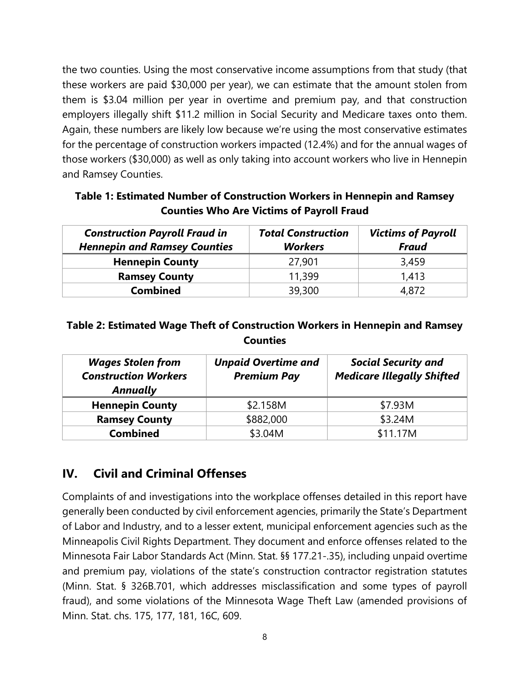the two counties. Using the most conservative income assumptions from that study (that these workers are paid \$30,000 per year), we can estimate that the amount stolen from them is \$3.04 million per year in overtime and premium pay, and that construction employers illegally shift \$11.2 million in Social Security and Medicare taxes onto them. Again, these numbers are likely low because we're using the most conservative estimates for the percentage of construction workers impacted (12.4%) and for the annual wages of those workers (\$30,000) as well as only taking into account workers who live in Hennepin and Ramsey Counties.

**Table 1: Estimated Number of Construction Workers in Hennepin and Ramsey Counties Who Are Victims of Payroll Fraud**

| <b>Construction Payroll Fraud in</b><br><b>Hennepin and Ramsey Counties</b> | <b>Total Construction</b><br><b>Workers</b> | <b>Victims of Payroll</b><br><b>Fraud</b> |
|-----------------------------------------------------------------------------|---------------------------------------------|-------------------------------------------|
| <b>Hennepin County</b>                                                      | 27,901                                      | 3,459                                     |
| <b>Ramsey County</b>                                                        | 11,399                                      | 1,413                                     |
| <b>Combined</b>                                                             | 39,300                                      | 4,872                                     |

#### **Table 2: Estimated Wage Theft of Construction Workers in Hennepin and Ramsey Counties**

| <b>Wages Stolen from</b><br><b>Construction Workers</b><br><b>Annually</b> | <b>Unpaid Overtime and</b><br><b>Premium Pay</b> | <b>Social Security and</b><br><b>Medicare Illegally Shifted</b> |
|----------------------------------------------------------------------------|--------------------------------------------------|-----------------------------------------------------------------|
| <b>Hennepin County</b>                                                     | \$2.158M                                         | \$7.93M                                                         |
| <b>Ramsey County</b>                                                       | \$882,000                                        | \$3.24M                                                         |
| <b>Combined</b>                                                            | \$3.04M                                          | \$11.17M                                                        |

#### **IV. Civil and Criminal Offenses**

Complaints of and investigations into the workplace offenses detailed in this report have generally been conducted by civil enforcement agencies, primarily the State's Department of Labor and Industry, and to a lesser extent, municipal enforcement agencies such as the Minneapolis Civil Rights Department. They document and enforce offenses related to the Minnesota Fair Labor Standards Act (Minn. Stat. §§ 177.21-.35), including unpaid overtime and premium pay, violations of the state's construction contractor registration statutes (Minn. Stat. § 326B.701, which addresses misclassification and some types of payroll fraud), and some violations of the Minnesota Wage Theft Law (amended provisions of Minn. Stat. chs. 175, 177, 181, 16C, 609.